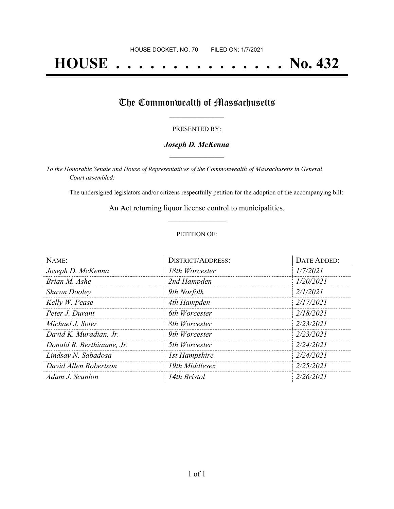# **HOUSE . . . . . . . . . . . . . . . No. 432**

## The Commonwealth of Massachusetts

#### PRESENTED BY:

#### *Joseph D. McKenna* **\_\_\_\_\_\_\_\_\_\_\_\_\_\_\_\_\_**

*To the Honorable Senate and House of Representatives of the Commonwealth of Massachusetts in General Court assembled:*

The undersigned legislators and/or citizens respectfully petition for the adoption of the accompanying bill:

An Act returning liquor license control to municipalities. **\_\_\_\_\_\_\_\_\_\_\_\_\_\_\_**

#### PETITION OF:

| NAME:                     | <b>DISTRICT/ADDRESS:</b> | DATE ADDED: |
|---------------------------|--------------------------|-------------|
| Joseph D. McKenna         | 18th Worcester           | 1/7/2021    |
| Brian M. Ashe             | 2nd Hampden              | 1/20/2021   |
| <b>Shawn Dooley</b>       | 9th Norfolk              | 2/1/2021    |
| Kelly W. Pease            | 4th Hampden              | 2/17/2021   |
| Peter J. Durant           | 6th Worcester            | 2/18/2021   |
| Michael J. Soter          | 8th Worcester            | 2/23/2021   |
| David K. Muradian, Jr.    | 9th Worcester            | 2/23/2021   |
| Donald R. Berthiaume, Jr. | 5th Worcester            | 2/24/2021   |
| Lindsay N. Sabadosa       | <b>1st Hampshire</b>     | 2/24/2021   |
| David Allen Robertson     | 19th Middlesex           | 2/25/2021   |
| Adam J. Scanlon           | 14th Bristol             | 2/26/2021   |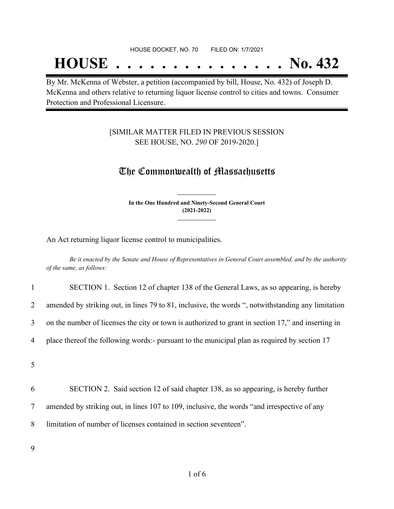## **HOUSE . . . . . . . . . . . . . . . No. 432**

By Mr. McKenna of Webster, a petition (accompanied by bill, House, No. 432) of Joseph D. McKenna and others relative to returning liquor license control to cities and towns. Consumer Protection and Professional Licensure.

### [SIMILAR MATTER FILED IN PREVIOUS SESSION SEE HOUSE, NO. *290* OF 2019-2020.]

### The Commonwealth of Massachusetts

**In the One Hundred and Ninety-Second General Court (2021-2022) \_\_\_\_\_\_\_\_\_\_\_\_\_\_\_**

**\_\_\_\_\_\_\_\_\_\_\_\_\_\_\_**

An Act returning liquor license control to municipalities.

Be it enacted by the Senate and House of Representatives in General Court assembled, and by the authority *of the same, as follows:*

| $\mathbf{1}$   | SECTION 1. Section 12 of chapter 138 of the General Laws, as so appearing, is hereby               |
|----------------|----------------------------------------------------------------------------------------------------|
| $\overline{2}$ | amended by striking out, in lines 79 to 81, inclusive, the words ", notwithstanding any limitation |
| 3              | on the number of licenses the city or town is authorized to grant in section 17," and inserting in |
| $\overline{4}$ | place thereof the following words:- pursuant to the municipal plan as required by section 17       |
| 5              |                                                                                                    |
| 6              | SECTION 2. Said section 12 of said chapter 138, as so appearing, is hereby further                 |
| $\overline{7}$ | amended by striking out, in lines 107 to 109, inclusive, the words "and irrespective of any        |
| 8              | limitation of number of licenses contained in section seventeen".                                  |
|                |                                                                                                    |

9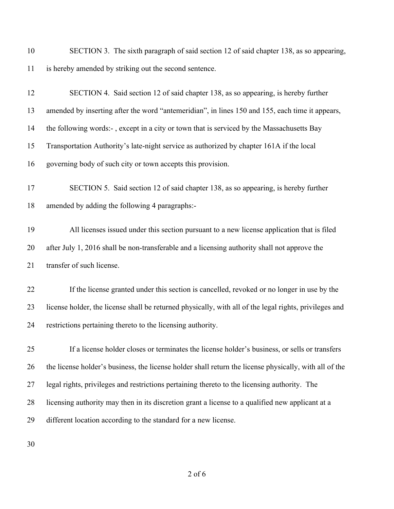SECTION 3. The sixth paragraph of said section 12 of said chapter 138, as so appearing, is hereby amended by striking out the second sentence.

| 12 | SECTION 4. Said section 12 of said chapter 138, as so appearing, is hereby further                     |
|----|--------------------------------------------------------------------------------------------------------|
| 13 | amended by inserting after the word "antemeridian", in lines 150 and 155, each time it appears,        |
| 14 | the following words:-, except in a city or town that is serviced by the Massachusetts Bay              |
| 15 | Transportation Authority's late-night service as authorized by chapter 161A if the local               |
| 16 | governing body of such city or town accepts this provision.                                            |
| 17 | SECTION 5. Said section 12 of said chapter 138, as so appearing, is hereby further                     |
| 18 | amended by adding the following 4 paragraphs:-                                                         |
| 19 | All licenses issued under this section pursuant to a new license application that is filed             |
| 20 | after July 1, 2016 shall be non-transferable and a licensing authority shall not approve the           |
| 21 | transfer of such license.                                                                              |
| 22 | If the license granted under this section is cancelled, revoked or no longer in use by the             |
| 23 | license holder, the license shall be returned physically, with all of the legal rights, privileges and |
| 24 | restrictions pertaining thereto to the licensing authority.                                            |
| 25 | If a license holder closes or terminates the license holder's business, or sells or transfers          |
| 26 | the license holder's business, the license holder shall return the license physically, with all of the |
| 27 | legal rights, privileges and restrictions pertaining thereto to the licensing authority. The           |
| 28 | licensing authority may then in its discretion grant a license to a qualified new applicant at a       |
| 29 | different location according to the standard for a new license.                                        |
|    |                                                                                                        |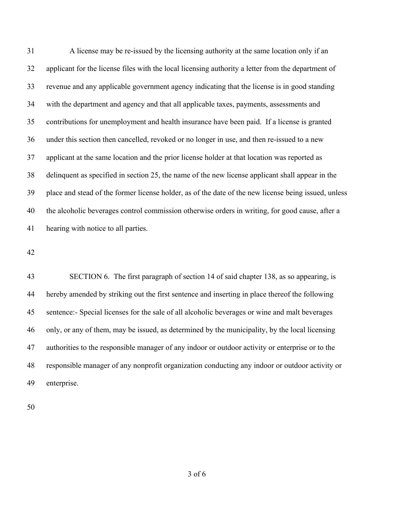A license may be re-issued by the licensing authority at the same location only if an applicant for the license files with the local licensing authority a letter from the department of revenue and any applicable government agency indicating that the license is in good standing with the department and agency and that all applicable taxes, payments, assessments and contributions for unemployment and health insurance have been paid. If a license is granted under this section then cancelled, revoked or no longer in use, and then re-issued to a new applicant at the same location and the prior license holder at that location was reported as delinquent as specified in section 25, the name of the new license applicant shall appear in the place and stead of the former license holder, as of the date of the new license being issued, unless the alcoholic beverages control commission otherwise orders in writing, for good cause, after a hearing with notice to all parties.

 SECTION 6. The first paragraph of section 14 of said chapter 138, as so appearing, is hereby amended by striking out the first sentence and inserting in place thereof the following sentence:- Special licenses for the sale of all alcoholic beverages or wine and malt beverages only, or any of them, may be issued, as determined by the municipality, by the local licensing authorities to the responsible manager of any indoor or outdoor activity or enterprise or to the responsible manager of any nonprofit organization conducting any indoor or outdoor activity or enterprise.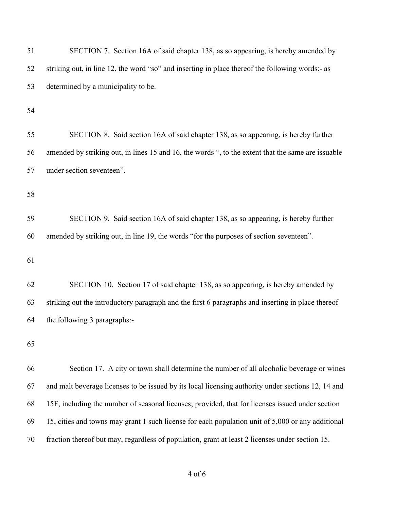| 51 | SECTION 7. Section 16A of said chapter 138, as so appearing, is hereby amended by                  |
|----|----------------------------------------------------------------------------------------------------|
| 52 | striking out, in line 12, the word "so" and inserting in place thereof the following words:- as    |
| 53 | determined by a municipality to be.                                                                |
| 54 |                                                                                                    |
|    |                                                                                                    |
| 55 | SECTION 8. Said section 16A of said chapter 138, as so appearing, is hereby further                |
| 56 | amended by striking out, in lines 15 and 16, the words ", to the extent that the same are issuable |
| 57 | under section seventeen".                                                                          |
|    |                                                                                                    |
| 58 |                                                                                                    |
| 59 | SECTION 9. Said section 16A of said chapter 138, as so appearing, is hereby further                |
| 60 | amended by striking out, in line 19, the words "for the purposes of section seventeen".            |
|    |                                                                                                    |
| 61 |                                                                                                    |
| 62 | SECTION 10. Section 17 of said chapter 138, as so appearing, is hereby amended by                  |
| 63 | striking out the introductory paragraph and the first 6 paragraphs and inserting in place thereof  |
| 64 | the following 3 paragraphs:-                                                                       |
|    |                                                                                                    |
| 65 |                                                                                                    |
| 66 | Section 17. A city or town shall determine the number of all alcoholic beverage or wines           |
| 67 | and malt beverage licenses to be issued by its local licensing authority under sections 12, 14 and |
| 68 | 15F, including the number of seasonal licenses; provided, that for licenses issued under section   |
| 69 | 15, cities and towns may grant 1 such license for each population unit of 5,000 or any additional  |
| 70 | fraction thereof but may, regardless of population, grant at least 2 licenses under section 15.    |
|    |                                                                                                    |

of 6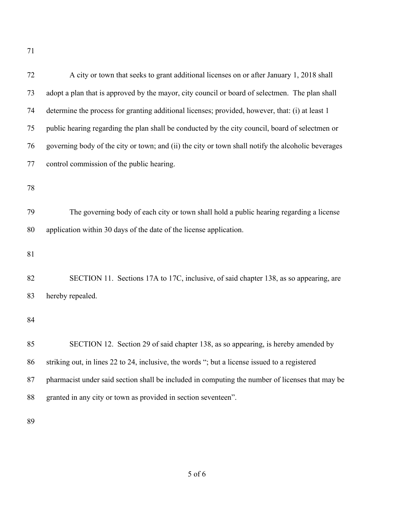| 72 | A city or town that seeks to grant additional licenses on or after January 1, 2018 shall           |
|----|----------------------------------------------------------------------------------------------------|
| 73 | adopt a plan that is approved by the mayor, city council or board of selectmen. The plan shall     |
| 74 | determine the process for granting additional licenses; provided, however, that: (i) at least 1    |
| 75 | public hearing regarding the plan shall be conducted by the city council, board of selectmen or    |
| 76 | governing body of the city or town; and (ii) the city or town shall notify the alcoholic beverages |
| 77 | control commission of the public hearing.                                                          |
| 78 |                                                                                                    |
| 79 | The governing body of each city or town shall hold a public hearing regarding a license            |
| 80 | application within 30 days of the date of the license application.                                 |
| 81 |                                                                                                    |
| 82 | SECTION 11. Sections 17A to 17C, inclusive, of said chapter 138, as so appearing, are              |
| 83 | hereby repealed.                                                                                   |
| 84 |                                                                                                    |
| 85 | SECTION 12. Section 29 of said chapter 138, as so appearing, is hereby amended by                  |
| 86 | striking out, in lines 22 to 24, inclusive, the words "; but a license issued to a registered      |
| 87 | pharmacist under said section shall be included in computing the number of licenses that may be    |
| 88 | granted in any city or town as provided in section seventeen".                                     |
| 89 |                                                                                                    |